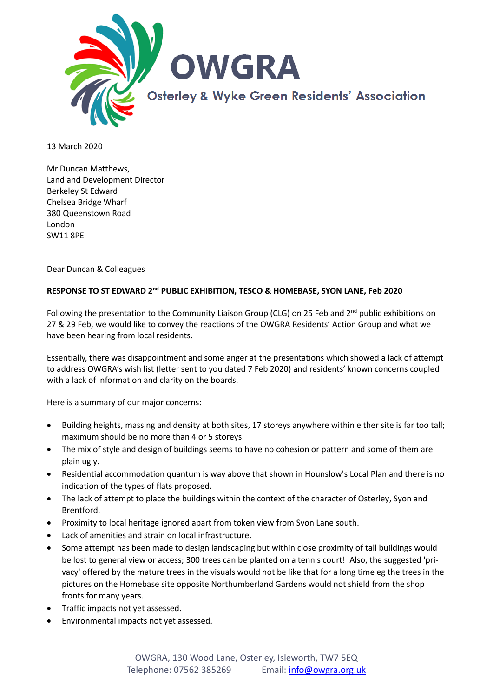

13 March 2020

Mr Duncan Matthews, Land and Development Director Berkeley St Edward Chelsea Bridge Wharf 380 Queenstown Road London SW11 8PE

Dear Duncan & Colleagues

## **RESPONSE TO ST EDWARD 2nd PUBLIC EXHIBITION, TESCO & HOMEBASE, SYON LANE, Feb 2020**

Following the presentation to the Community Liaison Group (CLG) on 25 Feb and 2<sup>nd</sup> public exhibitions on 27 & 29 Feb, we would like to convey the reactions of the OWGRA Residents' Action Group and what we have been hearing from local residents.

Essentially, there was disappointment and some anger at the presentations which showed a lack of attempt to address OWGRA's wish list (letter sent to you dated 7 Feb 2020) and residents' known concerns coupled with a lack of information and clarity on the boards.

Here is a summary of our major concerns:

- Building heights, massing and density at both sites, 17 storeys anywhere within either site is far too tall; maximum should be no more than 4 or 5 storeys.
- The mix of style and design of buildings seems to have no cohesion or pattern and some of them are plain ugly.
- Residential accommodation quantum is way above that shown in Hounslow's Local Plan and there is no indication of the types of flats proposed.
- The lack of attempt to place the buildings within the context of the character of Osterley, Syon and Brentford.
- Proximity to local heritage ignored apart from token view from Syon Lane south.
- Lack of amenities and strain on local infrastructure.
- Some attempt has been made to design landscaping but within close proximity of tall buildings would be lost to general view or access; 300 trees can be planted on a tennis court! Also, the suggested 'privacy' offered by the mature trees in the visuals would not be like that for a long time eg the trees in the pictures on the Homebase site opposite Northumberland Gardens would not shield from the shop fronts for many years.
- Traffic impacts not yet assessed.
- Environmental impacts not yet assessed.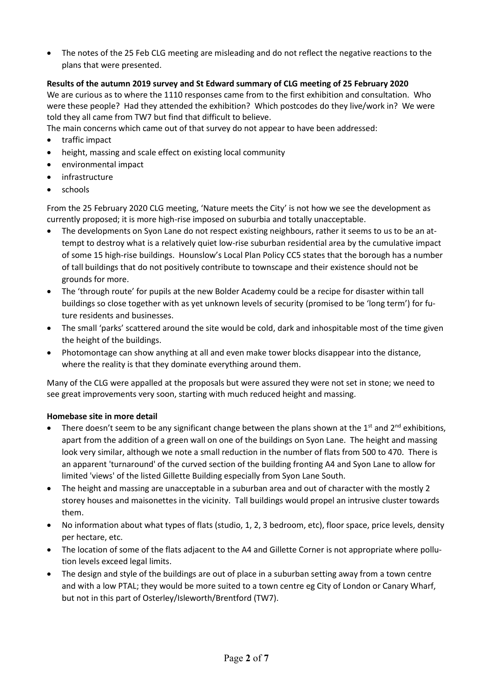• The notes of the 25 Feb CLG meeting are misleading and do not reflect the negative reactions to the plans that were presented.

# **Results of the autumn 2019 survey and St Edward summary of CLG meeting of 25 February 2020**

We are curious as to where the 1110 responses came from to the first exhibition and consultation. Who were these people? Had they attended the exhibition? Which postcodes do they live/work in? We were told they all came from TW7 but find that difficult to believe.

The main concerns which came out of that survey do not appear to have been addressed:

- traffic impact
- height, massing and scale effect on existing local community
- environmental impact
- infrastructure
- schools

From the 25 February 2020 CLG meeting, 'Nature meets the City' is not how we see the development as currently proposed; it is more high-rise imposed on suburbia and totally unacceptable.

- The developments on Syon Lane do not respect existing neighbours, rather it seems to us to be an attempt to destroy what is a relatively quiet low-rise suburban residential area by the cumulative impact of some 15 high-rise buildings. Hounslow's Local Plan Policy CC5 states that the borough has a number of tall buildings that do not positively contribute to townscape and their existence should not be grounds for more.
- The 'through route' for pupils at the new Bolder Academy could be a recipe for disaster within tall buildings so close together with as yet unknown levels of security (promised to be 'long term') for future residents and businesses.
- The small 'parks' scattered around the site would be cold, dark and inhospitable most of the time given the height of the buildings.
- Photomontage can show anything at all and even make tower blocks disappear into the distance, where the reality is that they dominate everything around them.

Many of the CLG were appalled at the proposals but were assured they were not set in stone; we need to see great improvements very soon, starting with much reduced height and massing.

## **Homebase site in more detail**

- There doesn't seem to be any significant change between the plans shown at the  $1<sup>st</sup>$  and  $2<sup>nd</sup>$  exhibitions, apart from the addition of a green wall on one of the buildings on Syon Lane. The height and massing look very similar, although we note a small reduction in the number of flats from 500 to 470. There is an apparent 'turnaround' of the curved section of the building fronting A4 and Syon Lane to allow for limited 'views' of the listed Gillette Building especially from Syon Lane South.
- The height and massing are unacceptable in a suburban area and out of character with the mostly 2 storey houses and maisonettes in the vicinity. Tall buildings would propel an intrusive cluster towards them.
- No information about what types of flats (studio, 1, 2, 3 bedroom, etc), floor space, price levels, density per hectare, etc.
- The location of some of the flats adjacent to the A4 and Gillette Corner is not appropriate where pollution levels exceed legal limits.
- The design and style of the buildings are out of place in a suburban setting away from a town centre and with a low PTAL; they would be more suited to a town centre eg City of London or Canary Wharf, but not in this part of Osterley/Isleworth/Brentford (TW7).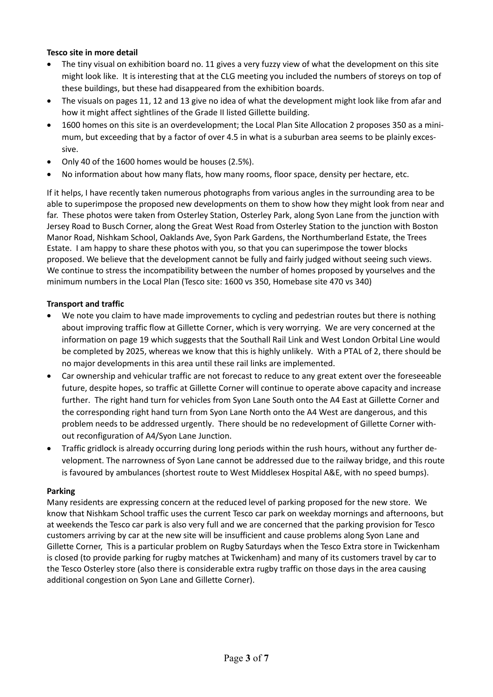## **Tesco site in more detail**

- The tiny visual on exhibition board no. 11 gives a very fuzzy view of what the development on this site might look like. It is interesting that at the CLG meeting you included the numbers of storeys on top of these buildings, but these had disappeared from the exhibition boards.
- The visuals on pages 11, 12 and 13 give no idea of what the development might look like from afar and how it might affect sightlines of the Grade II listed Gillette building.
- 1600 homes on this site is an overdevelopment; the Local Plan Site Allocation 2 proposes 350 as a minimum, but exceeding that by a factor of over 4.5 in what is a suburban area seems to be plainly excessive.
- Only 40 of the 1600 homes would be houses (2.5%).
- No information about how many flats, how many rooms, floor space, density per hectare, etc.

If it helps, I have recently taken numerous photographs from various angles in the surrounding area to be able to superimpose the proposed new developments on them to show how they might look from near and far. These photos were taken from Osterley Station, Osterley Park, along Syon Lane from the junction with Jersey Road to Busch Corner, along the Great West Road from Osterley Station to the junction with Boston Manor Road, Nishkam School, Oaklands Ave, Syon Park Gardens, the Northumberland Estate, the Trees Estate. I am happy to share these photos with you, so that you can superimpose the tower blocks proposed. We believe that the development cannot be fully and fairly judged without seeing such views. We continue to stress the incompatibility between the number of homes proposed by yourselves and the minimum numbers in the Local Plan (Tesco site: 1600 vs 350, Homebase site 470 vs 340)

#### **Transport and traffic**

- We note you claim to have made improvements to cycling and pedestrian routes but there is nothing about improving traffic flow at Gillette Corner, which is very worrying. We are very concerned at the information on page 19 which suggests that the Southall Rail Link and West London Orbital Line would be completed by 2025, whereas we know that this is highly unlikely. With a PTAL of 2, there should be no major developments in this area until these rail links are implemented.
- Car ownership and vehicular traffic are not forecast to reduce to any great extent over the foreseeable future, despite hopes, so traffic at Gillette Corner will continue to operate above capacity and increase further. The right hand turn for vehicles from Syon Lane South onto the A4 East at Gillette Corner and the corresponding right hand turn from Syon Lane North onto the A4 West are dangerous, and this problem needs to be addressed urgently. There should be no redevelopment of Gillette Corner without reconfiguration of A4/Syon Lane Junction.
- Traffic gridlock is already occurring during long periods within the rush hours, without any further development. The narrowness of Syon Lane cannot be addressed due to the railway bridge, and this route is favoured by ambulances (shortest route to West Middlesex Hospital A&E, with no speed bumps).

#### **Parking**

Many residents are expressing concern at the reduced level of parking proposed for the new store. We know that Nishkam School traffic uses the current Tesco car park on weekday mornings and afternoons, but at weekends the Tesco car park is also very full and we are concerned that the parking provision for Tesco customers arriving by car at the new site will be insufficient and cause problems along Syon Lane and Gillette Corner, This is a particular problem on Rugby Saturdays when the Tesco Extra store in Twickenham is closed (to provide parking for rugby matches at Twickenham) and many of its customers travel by car to the Tesco Osterley store (also there is considerable extra rugby traffic on those days in the area causing additional congestion on Syon Lane and Gillette Corner).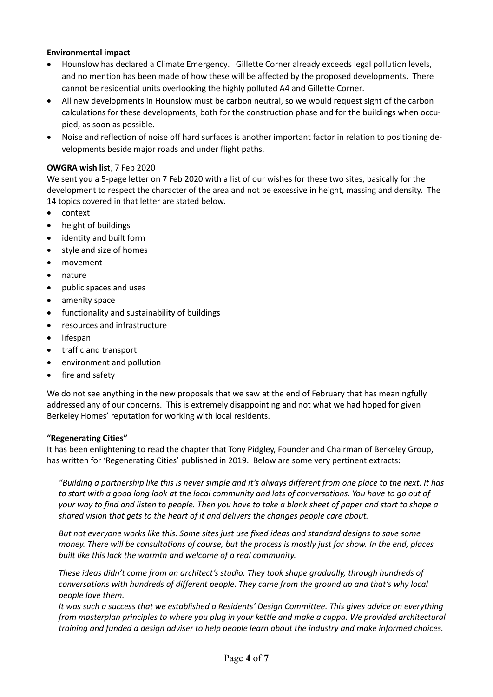## **Environmental impact**

- Hounslow has declared a Climate Emergency. Gillette Corner already exceeds legal pollution levels, and no mention has been made of how these will be affected by the proposed developments. There cannot be residential units overlooking the highly polluted A4 and Gillette Corner.
- All new developments in Hounslow must be carbon neutral, so we would request sight of the carbon calculations for these developments, both for the construction phase and for the buildings when occupied, as soon as possible.
- Noise and reflection of noise off hard surfaces is another important factor in relation to positioning developments beside major roads and under flight paths.

#### **OWGRA wish list**, 7 Feb 2020

We sent you a 5-page letter on 7 Feb 2020 with a list of our wishes for these two sites, basically for the development to respect the character of the area and not be excessive in height, massing and density. The 14 topics covered in that letter are stated below.

- context
- height of buildings
- identity and built form
- style and size of homes
- movement
- nature
- public spaces and uses
- amenity space
- functionality and sustainability of buildings
- resources and infrastructure
- lifespan
- traffic and transport
- environment and pollution
- fire and safety

We do not see anything in the new proposals that we saw at the end of February that has meaningfully addressed any of our concerns. This is extremely disappointing and not what we had hoped for given Berkeley Homes' reputation for working with local residents.

#### **"Regenerating Cities"**

It has been enlightening to read the chapter that Tony Pidgley, Founder and Chairman of Berkeley Group, has written for 'Regenerating Cities' published in 2019. Below are some very pertinent extracts:

*"Building a partnership like this is never simple and it's always different from one place to the next. It has to start with a good long look at the local community and lots of conversations. You have to go out of your way to find and listen to people. Then you have to take a blank sheet of paper and start to shape a shared vision that gets to the heart of it and delivers the changes people care about.*

*But not everyone works like this. Some sites just use fixed ideas and standard designs to save some money. There will be consultations of course, but the process is mostly just for show. In the end, places built like this lack the warmth and welcome of a real community.*

*These ideas didn't come from an architect's studio. They took shape gradually, through hundreds of conversations with hundreds of different people. They came from the ground up and that's why local people love them.*

*It was such a success that we established a Residents' Design Committee. This gives advice on everything from masterplan principles to where you plug in your kettle and make a cuppa. We provided architectural training and funded a design adviser to help people learn about the industry and make informed choices.*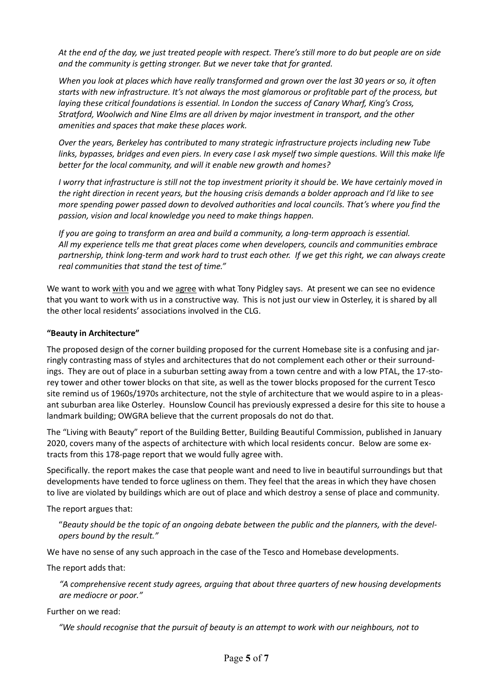*At the end of the day, we just treated people with respect. There's still more to do but people are on side and the community is getting stronger. But we never take that for granted.*

*When you look at places which have really transformed and grown over the last 30 years or so, it often starts with new infrastructure. It's not always the most glamorous or profitable part of the process, but laying these critical foundations is essential. In London the success of Canary Wharf, King's Cross, Stratford, Woolwich and Nine Elms are all driven by major investment in transport, and the other amenities and spaces that make these places work.*

*Over the years, Berkeley has contributed to many strategic infrastructure projects including new Tube links, bypasses, bridges and even piers. In every case I ask myself two simple questions. Will this make life better for the local community, and will it enable new growth and homes?*

*I worry that infrastructure is still not the top investment priority it should be. We have certainly moved in the right direction in recent years, but the housing crisis demands a bolder approach and I'd like to see more spending power passed down to devolved authorities and local councils. That's where you find the passion, vision and local knowledge you need to make things happen.*

*If you are going to transform an area and build a community, a long-term approach is essential. All my experience tells me that great places come when developers, councils and communities embrace partnership, think long-term and work hard to trust each other. If we get this right, we can always create real communities that stand the test of time."*

We want to work with you and we agree with what Tony Pidgley says. At present we can see no evidence that you want to work with us in a constructive way. This is not just our view in Osterley, it is shared by all the other local residents' associations involved in the CLG.

### **"Beauty in Architecture"**

The proposed design of the corner building proposed for the current Homebase site is a confusing and jarringly contrasting mass of styles and architectures that do not complement each other or their surroundings. They are out of place in a suburban setting away from a town centre and with a low PTAL, the 17-storey tower and other tower blocks on that site, as well as the tower blocks proposed for the current Tesco site remind us of 1960s/1970s architecture, not the style of architecture that we would aspire to in a pleasant suburban area like Osterley. Hounslow Council has previously expressed a desire for this site to house a landmark building; OWGRA believe that the current proposals do not do that.

The "Living with Beauty" report of the Building Better, Building Beautiful Commission, published in January 2020, covers many of the aspects of architecture with which local residents concur. Below are some extracts from this 178-page report that we would fully agree with.

Specifically. the report makes the case that people want and need to live in beautiful surroundings but that developments have tended to force ugliness on them. They feel that the areas in which they have chosen to live are violated by buildings which are out of place and which destroy a sense of place and community.

The report argues that:

"*Beauty should be the topic of an ongoing debate between the public and the planners, with the developers bound by the result."*

We have no sense of any such approach in the case of the Tesco and Homebase developments.

The report adds that:

*"A comprehensive recent study agrees, arguing that about three quarters of new housing developments are mediocre or poor."*

Further on we read:

*"We should recognise that the pursuit of beauty is an attempt to work with our neighbours, not to*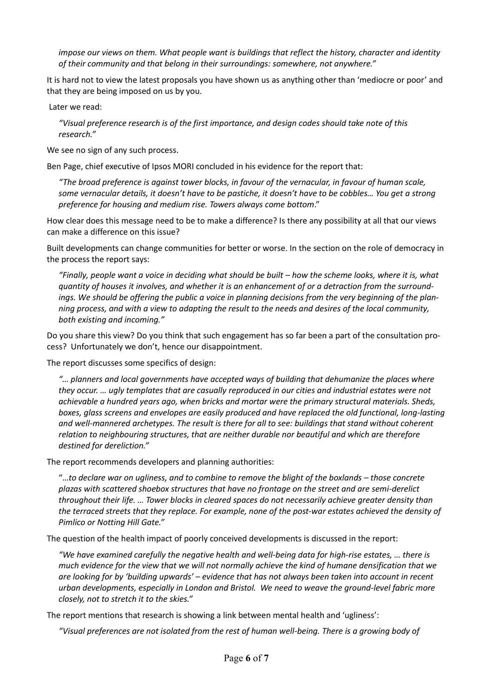*impose our views on them. What people want is buildings that reflect the history, character and identity of their community and that belong in their surroundings: somewhere, not anywhere."*

It is hard not to view the latest proposals you have shown us as anything other than 'mediocre or poor' and that they are being imposed on us by you.

Later we read:

*"Visual preference research is of the first importance, and design codes should take note of this research."*

We see no sign of any such process.

Ben Page, chief executive of Ipsos MORI concluded in his evidence for the report that:

*"The broad preference is against tower blocks, in favour of the vernacular, in favour of human scale, some vernacular details, it doesn't have to be pastiche, it doesn't have to be cobbles… You get a strong preference for housing and medium rise. Towers always come bottom*."

How clear does this message need to be to make a difference? Is there any possibility at all that our views can make a difference on this issue?

Built developments can change communities for better or worse. In the section on the role of democracy in the process the report says:

*"Finally, people want a voice in deciding what should be built – how the scheme looks, where it is, what quantity of houses it involves, and whether it is an enhancement of or a detraction from the surroundings. We should be offering the public a voice in planning decisions from the very beginning of the planning process, and with a view to adapting the result to the needs and desires of the local community, both existing and incoming."*

Do you share this view? Do you think that such engagement has so far been a part of the consultation process? Unfortunately we don't, hence our disappointment.

The report discusses some specifics of design:

*"… planners and local governments have accepted ways of building that dehumanize the places where they occur. … ugly templates that are casually reproduced in our cities and industrial estates were not achievable a hundred years ago, when bricks and mortar were the primary structural materials. Sheds, boxes, glass screens and envelopes are easily produced and have replaced the old functional, long-lasting and well-mannered archetypes. The result is there for all to see: buildings that stand without coherent relation to neighbouring structures, that are neither durable nor beautiful and which are therefore destined for dereliction."*

The report recommends developers and planning authorities:

"…*to declare war on ugliness, and to combine to remove the blight of the boxlands – those concrete plazas with scattered shoebox structures that have no frontage on the street and are semi-derelict throughout their life. … Tower blocks in cleared spaces do not necessarily achieve greater density than the terraced streets that they replace. For example, none of the post-war estates achieved the density of Pimlico or Notting Hill Gate."*

The question of the health impact of poorly conceived developments is discussed in the report:

*"We have examined carefully the negative health and well-being data for high-rise estates, … there is much evidence for the view that we will not normally achieve the kind of humane densification that we are looking for by 'building upwards' – evidence that has not always been taken into account in recent urban developments, especially in London and Bristol. We need to weave the ground-level fabric more closely, not to stretch it to the skies."*

The report mentions that research is showing a link between mental health and 'ugliness':

*"Visual preferences are not isolated from the rest of human well-being. There is a growing body of*